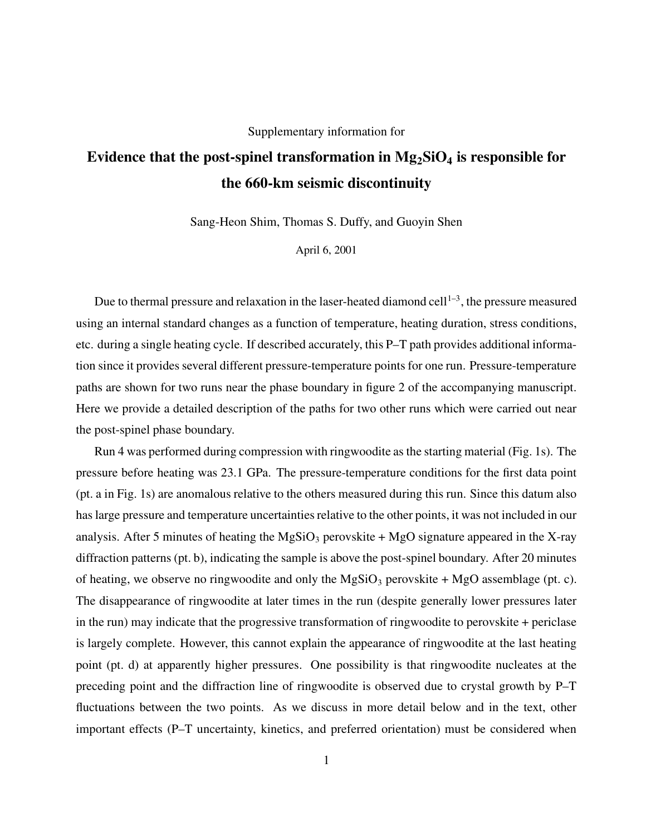## Supplementary information for

## **Evidence that the post-spinel transformation in Mg2SiO<sup>4</sup> is responsible for the 660-km seismic discontinuity**

Sang-Heon Shim, Thomas S. Duffy, and Guoyin Shen

April 6, 2001

Due to thermal pressure and relaxation in the laser-heated diamond cell<sup>1-3</sup>, the pressure measured using an internal standard changes as a function of temperature, heating duration, stress conditions, etc. during a single heating cycle. If described accurately, this P–T path provides additional information since it provides several different pressure-temperature points for one run. Pressure-temperature paths are shown for two runs near the phase boundary in figure 2 of the accompanying manuscript. Here we provide a detailed description of the paths for two other runs which were carried out near the post-spinel phase boundary.

Run 4 was performed during compression with ringwoodite as the starting material (Fig. 1s). The pressure before heating was 23.1 GPa. The pressure-temperature conditions for the first data point (pt. a in Fig. 1s) are anomalous relative to the others measured during this run. Since this datum also has large pressure and temperature uncertainties relative to the other points, it was not included in our analysis. After 5 minutes of heating the  $MgSiO<sub>3</sub>$  perovskite + MgO signature appeared in the X-ray diffraction patterns (pt. b), indicating the sample is above the post-spinel boundary. After 20 minutes of heating, we observe no ringwoodite and only the  $MgSiO<sub>3</sub>$  perovskite + MgO assemblage (pt. c). The disappearance of ringwoodite at later times in the run (despite generally lower pressures later in the run) may indicate that the progressive transformation of ringwoodite to perovskite + periclase is largely complete. However, this cannot explain the appearance of ringwoodite at the last heating point (pt. d) at apparently higher pressures. One possibility is that ringwoodite nucleates at the preceding point and the diffraction line of ringwoodite is observed due to crystal growth by P–T fluctuations between the two points. As we discuss in more detail below and in the text, other important effects (P–T uncertainty, kinetics, and preferred orientation) must be considered when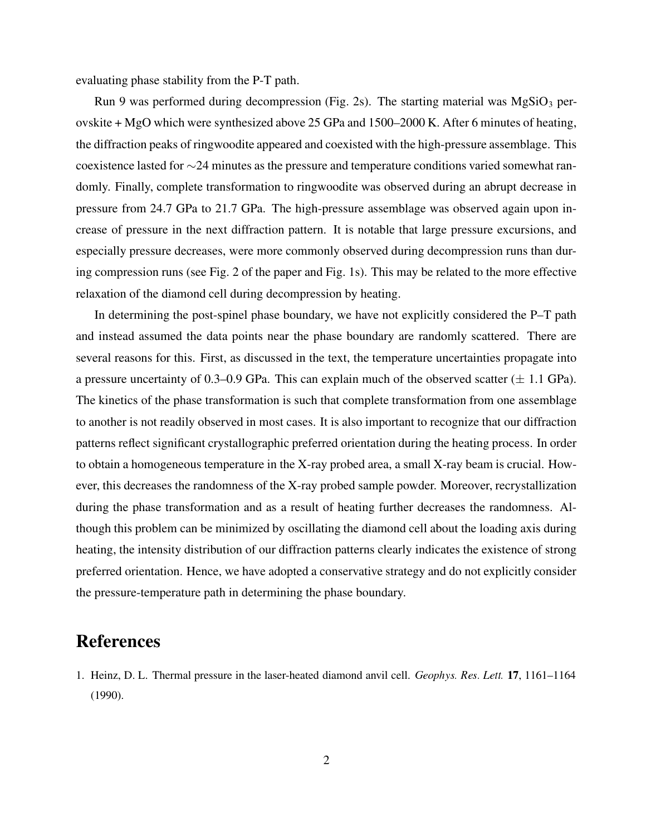evaluating phase stability from the P-T path.

Run 9 was performed during decompression (Fig. 2s). The starting material was  $MgSiO<sub>3</sub>$  perovskite + MgO which were synthesized above 25 GPa and 1500–2000 K. After 6 minutes of heating, the diffraction peaks of ringwoodite appeared and coexisted with the high-pressure assemblage. This coexistence lasted for ∼24 minutes as the pressure and temperature conditions varied somewhat randomly. Finally, complete transformation to ringwoodite was observed during an abrupt decrease in pressure from 24.7 GPa to 21.7 GPa. The high-pressure assemblage was observed again upon increase of pressure in the next diffraction pattern. It is notable that large pressure excursions, and especially pressure decreases, were more commonly observed during decompression runs than during compression runs (see Fig. 2 of the paper and Fig. 1s). This may be related to the more effective relaxation of the diamond cell during decompression by heating.

In determining the post-spinel phase boundary, we have not explicitly considered the P–T path and instead assumed the data points near the phase boundary are randomly scattered. There are several reasons for this. First, as discussed in the text, the temperature uncertainties propagate into a pressure uncertainty of 0.3–0.9 GPa. This can explain much of the observed scatter  $(\pm 1.1 \text{ GPa})$ . The kinetics of the phase transformation is such that complete transformation from one assemblage to another is not readily observed in most cases. It is also important to recognize that our diffraction patterns reflect significant crystallographic preferred orientation during the heating process. In order to obtain a homogeneous temperature in the X-ray probed area, a small X-ray beam is crucial. However, this decreases the randomness of the X-ray probed sample powder. Moreover, recrystallization during the phase transformation and as a result of heating further decreases the randomness. Although this problem can be minimized by oscillating the diamond cell about the loading axis during heating, the intensity distribution of our diffraction patterns clearly indicates the existence of strong preferred orientation. Hence, we have adopted a conservative strategy and do not explicitly consider the pressure-temperature path in determining the phase boundary.

## **References**

1. Heinz, D. L. Thermal pressure in the laser-heated diamond anvil cell. Geophys. Res. Lett. 17, 1161-1164 (1990).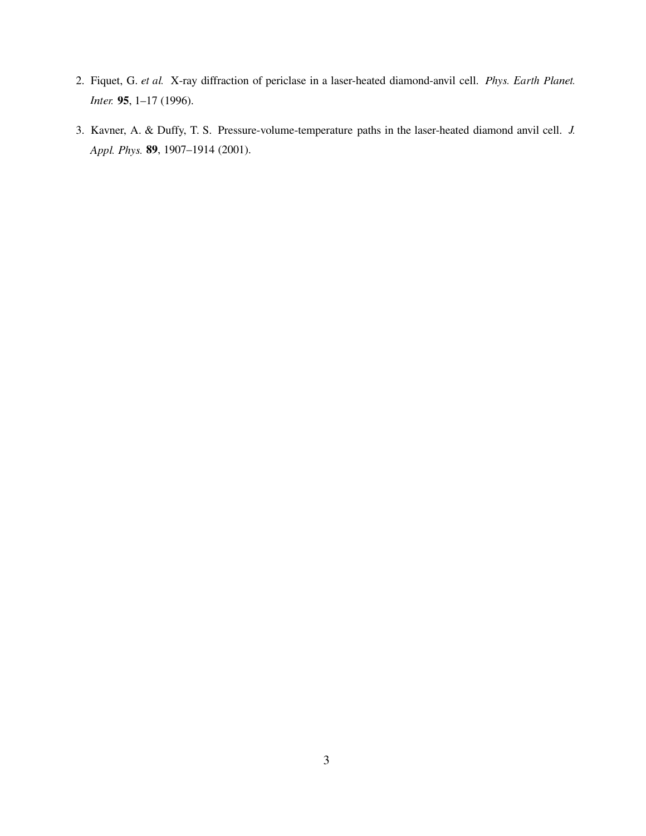- 2. Fiquet, G. et al. X-ray diffraction of periclase in a laser-heated diamond-anvil cell. Phys. Earth Planet. **95**, 1–17 (1996).
- 3. Kavner, A. & Duffy, T. S. Pressure-volume-temperature paths in the laser-heated diamond anvil cell. -  **89**, 1907–1914 (2001).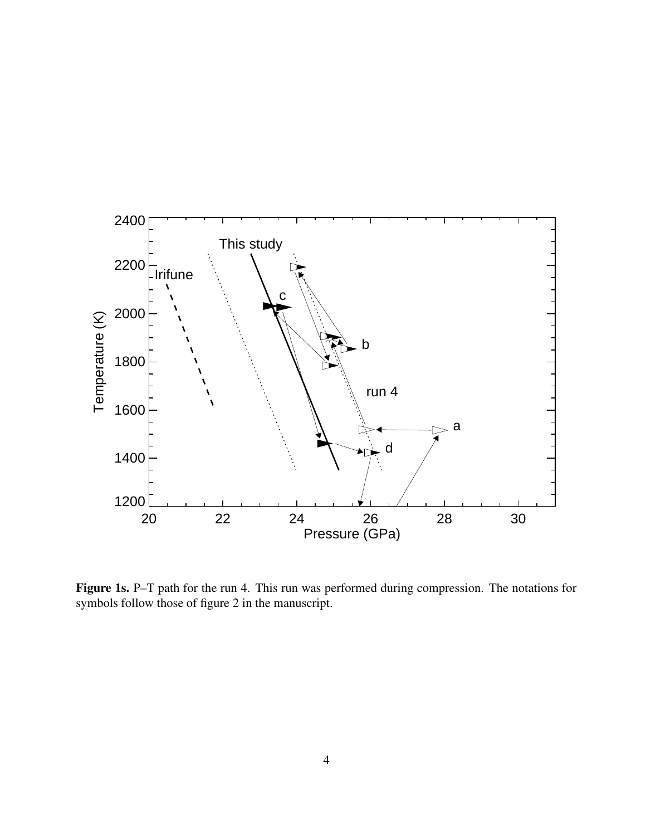

**Figure 1s.** P–T path for the run 4. This run was performed during compression. The notations for symbols follow those of figure 2 in the manuscript.